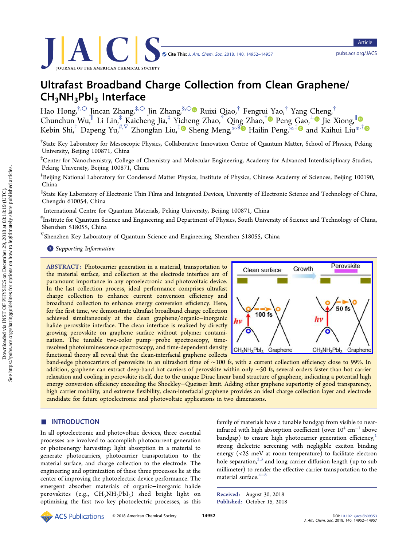# Ultrafast Broadband Charge Collection from Clean Graphene/ CH3NH3PbI3 Interface

Hao Hong,†,[○](#page-4-0) Jincan Zhang,‡,[○](#page-4-0) Jin Zhang,§,[○](#page-4-0) Ruixi Qiao,† Fengrui [Y](#page-4-0)ao,† Yang [Ch](#page-4-0)eng,† Chunchun Wu,<sup>∥</sup> Li Lin,‡ Kaicheng Jia,‡ Yi[ch](#page-4-0)eng Zhao,† Qin[g](#page-4-0) Zhao,† Peng [Ga](#page-4-0)o,<sup>⊥</sup> Jie Xiong,<sup>∥</sup> Kebin Shi, $^{\dagger}$  Dapeng Yu, $^{\#,\nabla}$  Zhongfan Liu, $^{\ddagger}$  Sheng Meng, $^{\ast,\mathbb{S}}$  Hailin Peng, $^{\ast,\ddagger}$  and Kaihui Liu $^{\ast,\dagger}$ 

† State Key Laboratory for Mesoscopic Physics, Collaborative Innovation Centre of Quantum Matter, School of Physics, Peking University, Beijing 100871, China

‡ Center for Nanochemistry, College of Chemistry and Molecular Engineering, Academy for Advanced Interdisciplinary Studies, Peking University, Beijing 100871, China

 $^{\$}$ Beijing National Laboratory for Condensed Matter Physics, Institute of Physics, Chinese Academy of Sciences, Beijing 100190, China

∥ State Key Laboratory of Electronic Thin Films and Integrated Devices, University of Electronic Science and Technology of China, Chengdu 610054, China

<sup>⊥</sup>International Centre for Quantum Materials, Peking University, Beijing 100871, China

# Institute for Quantum Science and Engineering and Department of Physics, South University of Science and Technology of China, Shenzhen 518055, China

<sup>∇</sup>Shenzhen Key Laboratory of Quantum Science and Engineering, Shenzhen 518055, China

**S** [Supporting Information](#page-4-0)

ABSTRACT: Photocarrier generation in a material, transportation to the material surface, and collection at the electrode interface are of paramount importance in any optoelectronic and photovoltaic device. In the last collection process, ideal performance comprises ultrafast charge collection to enhance current conversion efficiency and broadband collection to enhance energy conversion efficiency. Here, for the first time, we demonstrate ultrafast broadband charge collection achieved simultaneously at the clean graphene/organic−inorganic halide perovskite interface. The clean interface is realized by directly growing perovskite on graphene surface without polymer contamination. The tunable two-color pump−probe spectroscopy, timeresolved photoluminescence spectroscopy, and time-dependent density functional theory all reveal that the clean-interfacial graphene collects



band-edge photocarriers of perovskite in an ultrashort time of ∼100 fs, with a current collection efficiency close to 99%. In addition, graphene can extract deep-band hot carriers of perovskite within only ∼50 fs, several orders faster than hot carrier relaxation and cooling in perovskite itself, due to the unique Dirac linear band structure of graphene, indicating a potential high energy conversion efficiency exceeding the Shockley–Queisser limit. Adding other graphene superiority of good transparency, high carrier mobility, and extreme flexibility, clean-interfacial graphene provides an ideal charge collection layer and electrode candidate for future optoelectronic and photovoltaic applications in two dimensions.

# **ENTRODUCTION**

In all optoelectronic and photovoltaic devices, three essential processes are involved to accomplish photocurrent generation or photoenergy harvesting: light absorption in a material to generate photocarriers, photocarrier transportation to the material surface, and charge collection to the electrode. The engineering and optimization of these three processes lie at the center of improving the photoelectric device performance. The emergent absorber materials of organic−inorganic halide perovskites (e.g.,  $CH_3NH_3PbI_3$ ) shed bright light on optimizing the first two key photoelectric processes, as this family of materials have a tunable bandgap from visible to nearinfrared with high absorption coefficient (over  $10^4$  cm<sup>-1</sup> above bandgap) to ensure high photocarrier generation efficiency,<sup>[1](#page-4-0)</sup> strong dielectric screening with negligible exciton binding energy (<25 meV at room temperature) to facilitate electron hole separation, $2,3$  and long carrier diffusion length (up to sub millimeter) to render the effective carrier transportation to the material surface.<sup>4−[8](#page-4-0)</sup>

Received: August 30, 2018 Published: October 15, 2018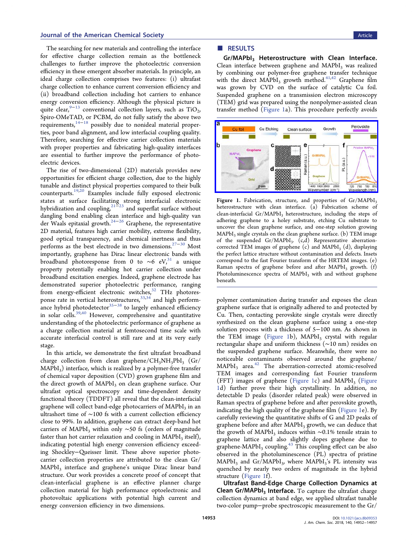## **Journal of the American Chemical Society** Article Article Article Article Article Article Article Article Article

The searching for new materials and controlling the interface for effective charge collection remain as the bottleneck challenges to further improve the photoelectric conversion efficiency in these emergent absorber materials. In principle, an ideal charge collection comprises two features: (i) ultrafast charge collection to enhance current conversion efficiency and (ii) broadband collection including hot carriers to enhance energy conversion efficiency. Although the physical picture is quite clear,<sup>[9](#page-4-0)-[13](#page-4-0)</sup> conventional collection layers, such as TiO<sub>2</sub>, Spiro-OMeTAD, or PCBM, do not fully satisfy the above two requirements, $14-18$  $14-18$  $14-18$  possibly due to nonideal material properties, poor band alignment, and low interfacial coupling quality. Therefore, searching for effective carrier collection materials with proper properties and fabricating high-quality interfaces are essential to further improve the performance of photoelectric devices.

The rise of two-dimensional (2D) materials provides new opportunities for efficient charge collection, due to the highly tunable and distinct physical properties compared to their bulk counterparts[.19](#page-5-0),[20](#page-5-0) Examples include fully exposed electronic states at surface facilitating strong interfacial electronic hybridization and coupling, $21\text{m}^2$  $21\text{m}^2$  and superflat surface without dangling bond enabling clean interface and high-quality van der Waals epitaxial growth.[24](#page-5-0)<sup>−</sup>[26](#page-5-0) Graphene, the representative 2D material, features high carrier mobility, extreme flexibility, good optical transparency, and chemical inertness and thus performs as the best electrode in two dimensions.<sup>27-[30](#page-5-0)</sup> Most importantly, graphene has Dirac linear electronic bands with broadband photoresponse from 0 to ~6 eV,<sup>[31](#page-5-0)</sup> a unique property potentially enabling hot carrier collection under broadband excitation energies. Indeed, graphene electrode has demonstrated superior photoelectric performance, ranging from energy-efficient electronic switches,<sup>[32](#page-5-0)</sup> THz photoresponse rate in vertical heterostructures,  $33,34$  $33,34$  $33,34$  and high perform-ance hybrid photodetector<sup>[35](#page-5-0)–[38](#page-5-0)</sup> to largely enhanced efficiency in solar cells.<sup>39,40</sup> However, comprehensive and quantitative understanding of the photoelectric performance of graphene as a charge collection material at femtosecond time scale with accurate interfacial control is still rare and at its very early stage.

In this article, we demonstrate the first ultrafast broadband charge collection from clean graphene/ $CH_3NH_3PbI_3$  (Gr/  $MAPbI<sub>3</sub>$ ) interface, which is realized by a polymer-free transfer of chemical vapor deposition (CVD) grown graphene film and the direct growth of MAPbI<sub>3</sub> on clean graphene surface. Our ultrafast optical spectroscopy and time-dependent density functional theory (TDDFT) all reveal that the clean-interfacial graphene will collect band-edge photocarriers of  $MAPbI<sub>3</sub>$  in an ultrashort time of ∼100 fs with a current collection efficiency close to 99%. In addition, graphene can extract deep-band hot carriers of MAPbI<sub>3</sub> within only ~50 fs (orders of magnitude faster than hot carrier relaxation and cooling in  $MAPbI<sub>3</sub>$  itself), indicating potential high energy conversion efficiency exceeding Shockley−Queisser limit. These above superior photocarrier collection properties are attributed to the clean Gr/ MAPbI<sub>3</sub> interface and graphene's unique Dirac linear band structure. Our work provides a concrete proof of concept that clean-interfacial graphene is an effective planner charge collection material for high performance optoelectronic and photovoltaic applications with potential high current and energy conversion efficiency in two dimensions.

# ■ RESULTS

Gr/MAPbI3 Heterostructure with Clean Interface. Clean interface between graphene and  $MAPbI<sub>3</sub>$  was realized by combining our polymer-free graphene transfer technique with the direct  $\widehat{MAPb1}$ <sub>3</sub> growth method.<sup>[41,42](#page-5-0)</sup> Graphene film was grown by CVD on the surface of catalytic Cu foil. Suspended graphene on a transmission electron microscopy (TEM) grid was prepared using the nonpolymer-assisted clean transfer method (Figure 1a). This procedure perfectly avoids



Figure 1. Fabrication, structure, and properties of  $Gr/MAPbI<sub>3</sub>$ heterostructure with clean interface. (a) Fabrication scheme of clean-interfacial Gr/MAPbI<sub>3</sub> heterostructure, including the steps of adhering graphene to a holey substrate, etching Cu substrate to uncover the clean graphene surface, and one-step solution growing  $MAPbI<sub>3</sub>$  single crystals on the clean graphene surface. (b) TEM image of the suspended  $Gr/MAPbI_3$ .  $(c,d)$  Representative aberrationcorrected TEM images of graphene  $(c)$  and MAPbI<sub>3</sub> (d), displaying the perfect lattice structure without contamination and defects. Insets correspond to the fast Fourier transform of the HRTEM images. (e) Raman spectra of graphene before and after  $MAPbI<sub>3</sub>$  growth. (f) Photoluminescence spectra of  $MAPbI<sub>3</sub>$  with and without graphene beneath.

polymer contamination during transfer and exposes the clean graphene surface that is originally adhered to and protected by Cu. Then, contacting perovskite single crystals were directly synthesized on the clean graphene surface using a one-step solution process with a thickness of 5−100 nm. As shown in the TEM image (Figure 1b),  $MAPbI<sub>3</sub>$  crystal with regular rectangular shape and uniform thickness (∼10 nm) resides on the suspended graphene surface. Meanwhile, there were no noticeable contaminants observed around the graphene/  $MAPbI<sub>3</sub>$  area.<sup>[42](#page-5-0)</sup> The aberration-corrected atomic-resolved TEM images and corresponding fast Fourier transform (FFT) images of graphene (Figure 1c) and MAPbI<sub>3</sub> (Figure 1d) further prove their high crystallinity. In addition, no detectable D peaks (disorder related peak) were observed in Raman spectra of graphene before and after perovskite growth, indicating the high quality of the graphene film (Figure 1e). By carefully reviewing the quantitative shifts of G and 2D peaks of graphene before and after MAPbI<sub>3</sub> growth, we can deduce that the growth of MAPbI<sub>3</sub> induces within  $~\sim 0.1\%$  tensile strain to graphene lattice and also slightly dopes graphene due to graphene-MAPbI<sub>3</sub> coupling.<sup>[43](#page-5-0)</sup> This coupling effect can be also observed in the photoluminescence (PL) spectra of pristine  $MAPbI<sub>3</sub>$  and  $Gr/MAPbI<sub>3</sub>$ , where  $MAPbI<sub>3</sub>'s$  PL intensity was quenched by nearly two orders of magnitude in the hybrid structure (Figure 1f).

Ultrafast Band-Edge Charge Collection Dynamics at **Clean Gr/MAPbI<sub>3</sub>** Interface. To capture the ultrafast charge collection dynamics at band edge, we applied ultrafast tunable two-color pump−probe spectroscopic measurement to the Gr/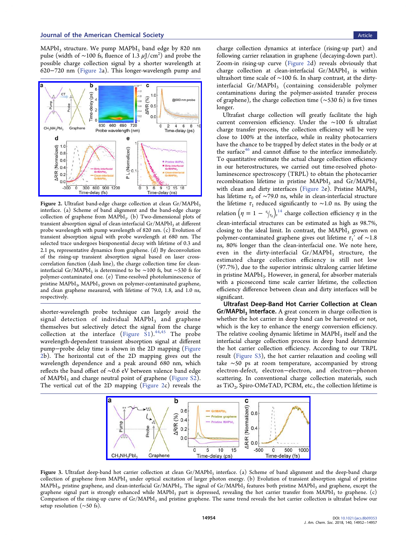<span id="page-2-0"></span> $MAPbI<sub>3</sub>$  structure. We pump  $MAPbI<sub>3</sub>$  band edge by 820 nm pulse (width of ~100 fs, fluence of 1.3  $\mu$ J/cm<sup>2</sup>) and probe the possible charge collection signal by a shorter wavelength at 620−720 nm (Figure 2a). This longer-wavelength pump and



Figure 2. Ultrafast band-edge charge collection at clean Gr/MAPbI<sub>3</sub> interface. (a) Scheme of band alignment and the band-edge charge collection of graphene from MAPbI<sub>3</sub>. (b) Two-dimensional plots of transient absorption signal of clean-interfacial Gr/MAPbI<sub>3</sub> at different probe wavelength with pump wavelength of 820 nm. (c) Evolution of transient absorption signal with probe wavelength at 680 nm. The selected trace undergoes biexponential decay with lifetime of 0.3 and 2.1 ps, representative dynamics from graphene. (d) By deconvolution of the rising-up transient absorption signal based on laser crosscorrelation function (dash line), the charge collection time for cleaninterfacial Gr/MAPbI<sub>3</sub> is determined to be ∼100 fs, but ~530 fs for polymer-contaminated one. (e) Time-resolved photoluminescence of pristine MAPbI<sub>3</sub>, MAPbI<sub>3</sub> grown on polymer-contaminated graphene, and clean graphene measured, with lifetime of 79.0, 1.8, and 1.0 ns, respectively.

shorter-wavelength probe technique can largely avoid the signal detection of individual  $MAPbI<sub>3</sub>$  and graphene themselves but selectively detect the signal from the charge collection at the interface (Figure  $\sinh^{44,45}$  $\sinh^{44,45}$  $\sinh^{44,45}$  $\sinh^{44,45}$  $\sinh^{44,45}$  The probe wavelength-dependent transient absorption signal at different pump−probe delay time is shown in the 2D mapping (Figure 2b). The horizontal cut of the 2D mapping gives out the wavelength dependence and a peak around 680 nm, which reflects the band offset of ∼0.6 eV between valence band edge of MAPbI<sub>3</sub> and charge neutral point of graphene [\(Figure S2](http://pubs.acs.org/doi/suppl/10.1021/jacs.8b09353/suppl_file/ja8b09353_si_001.pdf)). The vertical cut of the 2D mapping (Figure 2c) reveals the

charge collection dynamics at interface (rising-up part) and following carrier relaxation in graphene (decaying-down part). Zoom-in rising-up curve (Figure 2d) reveals obviously that charge collection at clean-interfacial  $Gr/MAPbI_3$  is within ultrashort time scale of ∼100 fs. In sharp contrast, at the dirtyinterfacial Gr/MAPbI<sub>3</sub> (containing considerable polymer contaminations during the polymer-assisted transfer process of graphene), the charge collection time (∼530 fs) is five times longer.

Ultrafast charge collection will greatly facilitate the high current conversion efficiency. Under the ∼100 fs ultrafast charge transfer process, the collection efficiency will be very close to 100% at the interface, while in reality photocarriers have the chance to be trapped by defect states in the body or at the surface $46$  and cannot diffuse to the interface immediately. To quantitative estimate the actual charge collection efficiency in our heterostructures, we carried out time-resolved photoluminescence spectroscopy (TRPL) to obtain the photocarrier recombination lifetime in pristine MAPbI<sub>3</sub> and  $Gr/MAPbI<sub>3</sub>$ with clean and dirty interfaces (Figure 2e). Pristine  $MAPbI<sub>3</sub>$ has lifetime  $\tau_0$  of ∼79.0 ns, while in clean-interfacial structure the lifetime  $\tau_1$  reduced significantly to ~1.0 ns. By using the relation  $\left( \eta \, = \, 1 \, - \, ^{\tau_j}\! \right\rangle_{\tau_0} \right)^{14}$  $\left( \eta \, = \, 1 \, - \, ^{\tau_j}\! \right\rangle_{\tau_0} \right)^{14}$  $\left( \eta \, = \, 1 \, - \, ^{\tau_j}\! \right\rangle_{\tau_0} \right)^{14}$  charge collection efficiency  $\eta$  in the clean-interfacial structures can be estimated as high as 98.7%, closing to the ideal limit. In contrast, the  $MAPbI<sub>3</sub>$  grown on polymer-contaminated graphene gives out lifetime  $\tau_1'$  of ~1.8 ns, 80% longer than the clean-interfacial one. We note here, even in the dirty-interfacial  $Gr/MAPbI_3$  structure, the estimated charge collection efficiency is still not low (97.7%), due to the superior intrinsic ultralong carrier lifetime in pristine MAPbI<sub>3</sub>. However, in general, for absorber materials with a picosecond time scale carrier lifetime, the collection efficiency difference between clean and dirty interfaces will be significant.

Ultrafast Deep-Band Hot Carrier Collection at Clean Gr/MAPbI<sub>3</sub> Interface. A great concern in charge collection is whether the hot carrier in deep band can be harvested or not, which is the key to enhance the energy conversion efficiency. The relative cooling dynamic lifetime in  $MAPbI<sub>3</sub>$  itself and the interfacial charge collection process in deep band determine the hot carrier collection efficiency. According to our TRPL result [\(Figure S3\)](http://pubs.acs.org/doi/suppl/10.1021/jacs.8b09353/suppl_file/ja8b09353_si_001.pdf), the hot carrier relaxation and cooling will take ∼50 ps at room temperature, accompanied by strong electron-defect, electron−electron, and electron−phonon scattering. In conventional charge collection materials, such as  $TiO<sub>2</sub>$ , Spiro-OMeTAD, PCBM, etc., the collection lifetime is



Figure 3. Ultrafast deep-band hot carrier collection at clean Gr/MAPbI<sub>3</sub> interface. (a) Scheme of band alignment and the deep-band charge collection of graphene from MAPbI<sub>3</sub> under optical excitation of larger photon energy. (b) Evolution of transient absorption signal of pristine MAPbI<sub>3</sub>, pristine graphene, and clean-interfacial Gr/MAPbI<sub>3</sub>. The signal of Gr/MAPbI<sub>3</sub> features both pristine MAPbI<sub>3</sub> and graphene, except the graphene signal part is strongly enhanced while MAPbI<sub>3</sub> part is depressed, revealing the hot carrier transfer from MAPbI<sub>3</sub> to graphene. (c) Comparison of the rising-up curve of Gr/MAPbI<sub>3</sub> and pristine graphene. The same trend reveals the hot carrier collection is ultrafast below our setup resolution (∼50 fs).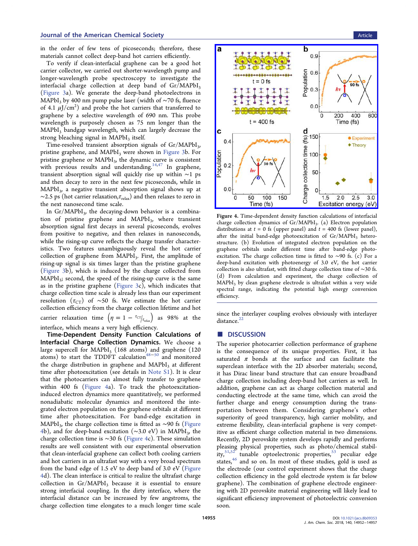in the order of few tens of picoseconds; therefore, these materials cannot collect deep-band hot carriers efficiently.

To verify if clean-interfacial graphene can be a good hot carrier collector, we carried out shorter-wavelength pump and longer-wavelength probe spectroscopy to investigate the interfacial charge collection at deep band of  $Gr/MAPbI_3$ ([Figure 3a](#page-2-0)). We generate the deep-band photoelectrons in MAPbI<sub>3</sub> by 400 nm pump pulse laser (width of ~70 fs, fluence of 4.1  $\mu$ J/cm<sup>2</sup>) and probe the hot carriers that transferred to graphene by a selective wavelength of 690 nm. This probe wavelength is purposely chosen as 75 nm longer than the MAPbI<sub>3</sub> bandgap wavelength, which can largely decrease the strong bleaching signal in  $MAPbI<sub>3</sub>$  itself.

Time-resolved transient absorption signals of Gr/MAPbI<sub>3</sub>, pristine graphene, and MAPbI<sub>3</sub> were shown in [Figure 3b](#page-2-0). For pristine graphene or  $MAPbI<sub>3</sub>$ , the dynamic curve is consistent with previous results and understanding.  $14,47$  $14,47$  In graphene, transient absorption signal will quickly rise up within ∼1 ps and then decay to zero in the next few picoseconds, while in  $MAPbI<sub>3</sub>$ , a negative transient absorption signal shows up at  $\sim$ 2.5 ps (hot carrier relaxation, $\tau_{\text{relax}}$ ) and then relaxes to zero in the next nanosecond time scale.

In  $Gr/MAPbI<sub>3</sub>$ , the decaying-down behavior is a combination of pristine graphene and  $MAPbI_3$ , where transient absorption signal first decays in several picoseconds, evolves from positive to negative, and then relaxes in nanoseconds, while the rising-up curve reflects the charge transfer characteristics. Two features unambiguously reveal the hot carrier collection of graphene from MAPbI<sub>3</sub>. First, the amplitude of rising-up signal is six times larger than the pristine graphene ([Figure 3b](#page-2-0)), which is induced by the charge collected from  $MAPbI_3$ ; second, the speed of the rising-up curve is the same as in the pristine graphene (Figure  $3c$ ), which indicates that charge collection time scale is already less than our experiment resolution ( $\tau$ <sub>CT</sub>) of ~50 fs. We estimate the hot carrier collection efficiency from the charge collection lifetime and hot carrier relaxation time  $(\eta = 1 - \frac{\tau_{CT}}{\tau_{relax}})$  as 98% at the interface, which means a very high efficiency.

Time-Dependent Density Function Calculations of Interfacial Charge Collection Dynamics. We choose a large supercell for  $MAPbI<sub>3</sub>$  (168 atoms) and graphene (120 atoms) to start the TDDFT calculation<sup>48-[50](#page-5-0)</sup> and monitored the charge distribution in graphene and  $MAPbI<sub>3</sub>$  at different time after photoexcitation (see details in [Note S1](http://pubs.acs.org/doi/suppl/10.1021/jacs.8b09353/suppl_file/ja8b09353_si_001.pdf)). It is clear that the photocarriers can almost fully transfer to graphene within 400 fs (Figure 4a). To track the photoexcitationinduced electron dynamics more quantitatively, we performed nonadiabatic molecular dynamics and monitored the integrated electron population on the graphene orbitals at different time after photoexcitation. For band-edge excitation in MAPbI<sub>3</sub>, the charge collection time is fitted as ~90 fs (Figure 4b), and for deep-band excitation (∼3.0 eV) in MAPbI3, the charge collection time is ∼30 fs (Figure 4c). These simulation results are well consistent with our experimental observation that clean-interfacial graphene can collect both cooling carriers and hot carriers in an ultrafast way with a very broad spectrum from the band edge of 1.5 eV to deep band of 3.0 eV (Figure 4d). The clean interface is critical to realize the ultrafast charge collection in  $Gr/MAPbI<sub>3</sub>$  because it is essential to ensure strong interfacial coupling. In the dirty interface, where the interfacial distance can be increased by few angstroms, the charge collection time elongates to a much longer time scale



Figure 4. Time-dependent density function calculations of interfacial charge collection dynamics of  $Gr/MAPbI<sub>3</sub>$ . (a) Electron population distributions at  $t = 0$  fs (upper panel) and  $t = 400$  fs (lower panel), after the initial band-edge photoexcitation of  $Gr/MAPbI<sub>3</sub>$  heterostructure. (b) Evolution of integrated electron population on the graphene orbitals under different time after band-edge photoexcitation. The charge collection time is fitted to ∼90 fs. (c) For a deep-band excitation with photoenergy of 3.0 eV, the hot carrier collection is also ultrafast, with fitted charge collection time of ∼30 fs. (d) From calculation and experiment, the charge collection of  $MAPbI<sub>3</sub>$  by clean graphene electrode is ultrafast within a very wide spectral range, indicating the potential high energy conversion efficiency.

since the interlayer coupling evolves obviously with interlayer distance.<sup>[22](#page-5-0)</sup>

# ■ DISCUSSION

The superior photocarrier collection performance of graphene is the consequence of its unique properties. First, it has saturated  $\pi$  bonds at the surface and can facilitate the superclean interface with the 2D absorber materials; second, it has Dirac linear band structure that can ensure broadband charge collection including deep-band hot carriers as well. In addition, graphene can act as charge collection material and conducting electrode at the same time, which can avoid the further charge and energy consumption during the transportation between them. Considering graphene's other superiority of good transparency, high carrier mobility, and extreme flexibility, clean-interfacial graphene is very competitive as efficient charge collection material in two dimensions. Recently, 2D perovskite system develops rapidly and performs pleasing physical properties, such as photo/chemical stability,  $51,52$  $51,52$  $51,52$  tunable optoelectronic properties,  $53$  peculiar edge states,<sup>[46](#page-5-0)</sup> and so on. In most of these studies, gold is used as the electrode (our control experiment shows that the charge collection efficiency in the gold electrode system is far below graphene). The combination of graphene electrode engineering with 2D perovskite material engineering will likely lead to significant efficiency improvement of photoelectric conversion soon.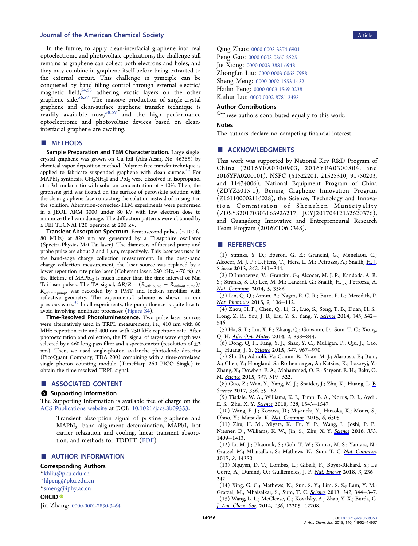#### <span id="page-4-0"></span>**Journal of the American Chemical Society** Article Article Article Article Article Article Article Article Article

In the future, to apply clean-interfacial graphene into real optoelectronic and photovoltaic applications, the challenge still remains as graphene can collect both electrons and holes, and they may combine in graphene itself before being extracted to the external circuit. This challenge in principle can be conquered by band filling control through external electric/ magnetic field,<sup>[54,55](#page-5-0)</sup> adhering exotic layers on the other graphene side.<sup>[56](#page-5-0),[57](#page-5-0)</sup> The massive production of single-crystal graphene and clean-surface graphene transfer technique is readily available now,  ${}^{58,59}$  ${}^{58,59}$  ${}^{58,59}$  ${}^{58,59}$  ${}^{58,59}$  and the high performance optoelectronic and photovoltaic devices based on cleaninterfacial graphene are awaiting.

# ■ METHODS

Sample Preparation and TEM Characterization. Large singlecrystal graphene was grown on Cu foil (Alfa-Aesar, No. 46365) by chemical vapor deposition method. Polymer-free transfer technique is applied to fabricate suspended graphene with clean surface.<sup>[42](#page-5-0)</sup> For  $MAPbI<sub>3</sub>$  synthesis,  $CH<sub>3</sub>NH<sub>3</sub>I$  and  $PbI<sub>2</sub>$  were dissolved in isopropanol at a 3:1 molar ratio with solution concentration of ∼40%. Then, the graphene grid was floated on the surface of perovskite solution with the clean graphene face contacting the solution instead of rinsing it in the solution. Aberration-corrected-TEM experiments were performed in a JEOL ARM 3000 under 80 kV with low electron dose to minimize the beam damage. The diffraction patterns were obtained by a FEI TECNAI F20 operated at 200 kV.

Transient Absorption Spectrum. Femtosecond pulses (∼100 fs, 80 MHz) at 820 nm are generated by a Ti:sapphire oscillator (Spectra-Physics Mai Tai laser). The diameters of focused pump and probe pulse are about 2 and 1  $\mu$ m, respectively. This laser was used in the band-edge charge collection measurement. In the deep-band charge collection measurement, the laser source was replaced by a lower repetition rate pulse laser (Coherent laser, 250 kHz, ∼70 fs), as the lifetime of MAPbI<sub>3</sub> is much longer than the time interval of Mai Tai laser pulses. The TA signal,  $\Delta R/R = (R_{\text{with pump}} - R_{\text{without pump}})$ / R<sub>without pump</sub>, was recorded by a PMT and lock-in amplifier with reflective geometry. The experimental scheme is shown in our previous work.[45](#page-5-0) In all experiments, the pump fluence is quite low to avoid involving nonlinear processes ([Figure S4](http://pubs.acs.org/doi/suppl/10.1021/jacs.8b09353/suppl_file/ja8b09353_si_001.pdf)).

Time-Resolved Photoluminescence. Two pulse laser sources were alternatively used in TRPL measurement, i.e., 410 nm with 80 MHz repetition rate and 400 nm with 250 kHz repetition rate. After photoexcitation and collection, the PL signal of target wavelength was selected by a 460 long-pass filter and a spectrometer (resolution of  $\pm 2$ nm). Then, we used single-photon avalanche photodiode detector (PicoQuant Company, TDA 200) combining with a time-correlated single photon counting module (TimeHarp 260 PICO Single) to obtain the time-resolved TRPL signal.

# ■ ASSOCIATED CONTENT

## **6** Supporting Information

The Supporting Information is available free of charge on the [ACS Publications website](http://pubs.acs.org) at DOI: [10.1021/jacs.8b09353](http://pubs.acs.org/doi/abs/10.1021/jacs.8b09353).

Transient absorption signal of pristine graphene and MAPbI<sub>3</sub>, band alignment determination, MAPbI<sub>3</sub> hot carrier relaxation and cooling, linear transient absorption, and methods for TDDFT ([PDF](http://pubs.acs.org/doi/suppl/10.1021/jacs.8b09353/suppl_file/ja8b09353_si_001.pdf))

#### ■ AUTHOR INFORMATION

#### Corresponding Authors

\*[khliu@pku.edu.cn](mailto:khliu@pku.edu.cn)

\*[hlpeng@pku.edu.cn](mailto:hlpeng@pku.edu.cn) \*[smeng@iphy.ac.cn](mailto:smeng@iphy.ac.cn)

# ORCID<sup>®</sup>

Jin Zhang: [0000-0001-7830-3464](http://orcid.org/0000-0001-7830-3464)

Qing Zhao: [0000-0003-3374-6901](http://orcid.org/0000-0003-3374-6901) Peng Gao: [0000-0003-0860-5525](http://orcid.org/0000-0003-0860-5525) Jie Xiong: [0000-0003-3881-6948](http://orcid.org/0000-0003-3881-6948) Zhongfan Liu: [0000-0003-0065-7988](http://orcid.org/0000-0003-0065-7988) Sheng Meng: [0000-0002-1553-1432](http://orcid.org/0000-0002-1553-1432) Hailin Peng: [0000-0003-1569-0238](http://orcid.org/0000-0003-1569-0238) Kaihui Liu: [0000-0002-8781-2495](http://orcid.org/0000-0002-8781-2495)

#### Author Contributions

○These authors contributed equally to this work.

#### **Notes**

The authors declare no competing financial interest.

#### ■ ACKNOWLEDGMENTS

This work was supported by National Key R&D Program of China (2016YFA0300903, 2016YFA0300804, and 2016YFA0200101), NSFC (51522201, 21525310, 91750203, and 11474006), National Equipment Program of China (ZDYZ2015-1), Beijing Graphene Innovation Program (Z161100002116028), the Science, Technology and Innovation Commission of Shenzhen Municipality (ZDSYS20170303165926217, JCYJ20170412152620376), and Guangdong Innovative and Entrepreneurial Research Team Program (2016ZT06D348).

#### ■ REFERENCES

(1) Stranks, S. D.; Eperon, G. E.; Grancini, G.; Menelaou, C.; Alcocer, M. J. P.; Leijtens, T.; Herz, L. M.; Petrozza, A.; Snaith, H. I. Science 2013, 342, 341−344.

(2) D'Innocenzo, V.; Grancini, G.; Alcocer, M. J. P.; Kandada, A. R. S.; Stranks, S. D.; Lee, M. M.; Lanzani, G.; Snaith, H. J.; Petrozza, A. [Nat. Commun](http://pubs.acs.org/action/showLinks?pmid=24710005&crossref=10.1038%2Fncomms4586&coi=1%3ACAS%3A280%3ADC%252BC2cnhsF2gsQ%253D%253D&citationId=p_n_4_1). 2014, 5, 3586.

(3) Lin, Q. Q.; Armin, A.; Nagiri, R. C. R.; Burn, P. L.; Meredith, P. [Nat. Photonics](http://pubs.acs.org/action/showLinks?crossref=10.1038%2Fnphoton.2014.284&coi=1%3ACAS%3A528%3ADC%252BC2cXitVCks77F&citationId=p_n_5_1) 2015, 9, 106-112.

(4) Zhou, H. P.; Chen, Q.; Li, G.; Luo, S.; Song, T. B.; Duan, H. S.; Hong, Z. R.; You, J. B.; Liu, Y. S.; Yang, Y. [Science](http://pubs.acs.org/action/showLinks?pmid=25082698&crossref=10.1126%2Fscience.1254050&coi=1%3ACAS%3A528%3ADC%252BC2cXht1aksrrO&citationId=p_n_8_1) 2014, 345, 542− 546.

(5) Ha, S. T.; Liu, X. F.; Zhang, Q.; Giovanni, D.; Sum, T. C.; Xiong, Q. H. [Adv. Opt. Mater.](http://pubs.acs.org/action/showLinks?crossref=10.1002%2Fadom.201400106&coi=1%3ACAS%3A528%3ADC%252BC2cXhsFOns77L&citationId=p_n_9_1) 2014, 2, 838-844.

(6) Dong, Q. F.; Fang, Y. J.; Shao, Y. C.; Mulligan, P.; Qiu, J.; Cao, L.; Huang, J. S. [Science](http://pubs.acs.org/action/showLinks?pmid=25636799&crossref=10.1126%2Fscience.aaa5760&coi=1%3ACAS%3A528%3ADC%252BC2MXjtF2qtLc%253D&citationId=p_n_12_1) 2015, 347, 967−970.

(7) Shi, D.; Adinolfi, V.; Comin, R.; Yuan, M. J.; Alarousu, E.; Buin, A.; Chen, Y.; Hoogland, S.; Rothenberger, A.; Katsiev, K.; Losovyj, Y.; Zhang, X.; Dowben, P. A.; Mohammed, O. F.; Sargent, E. H.; Bakr, O. M. [Science](http://pubs.acs.org/action/showLinks?pmid=25635092&crossref=10.1126%2Fscience.aaa2725&coi=1%3ACAS%3A528%3ADC%252BC2MXhsV2nsrs%253D&citationId=p_n_15_1) 2015, 347, 519−522.

(8) Guo, Z.; Wan, Y.; Yang, M. J.; Snaider, J.; Zhu, K.; Huang, L. [B.](http://pubs.acs.org/action/showLinks?pmid=28386007&crossref=10.1126%2Fscience.aam7744&coi=1%3ACAS%3A528%3ADC%252BC2sXlsVymsLs%253D&citationId=p_n_18_1) Science 2017, 356, 59−62.

(9) Tisdale, W. A.; Williams, K. J.; Timp, B. A.; Norris, D. J.; Aydil, E. S.; Zhu, X. Y. [Science](http://pubs.acs.org/action/showLinks?pmid=20558714&crossref=10.1126%2Fscience.1185509&coi=1%3ACAS%3A528%3ADC%252BC3cXnsVWntr8%253D&citationId=p_n_21_1) 2010, 328, 1543−1547.

(10) Wang, F. J.; Kozawa, D.; Miyauchi, Y.; Hiraoka, K.; Mouri, S.; Ohno, Y.; Matsuda, K. *Nat. Commun*. 2015, 6, 6305.

(11) Zhu, H. M.; Miyata, K.; Fu, Y. P.; Wang, J.; Joshi, P. P.; Niesner, D.; Williams, K. W.; Jin, S.; Zhu, X. Y. [Science](http://pubs.acs.org/action/showLinks?pmid=27708033&crossref=10.1126%2Fscience.aaf9570&coi=1%3ACAS%3A528%3ADC%252BC28XhsFamsr%252FL&citationId=p_n_25_1) 2016, 353, 1409−1413.

(12) Li, M. J.; Bhaumik, S.; Goh, T. W.; Kumar, M. S.; Yantara, N.; Gratzel, M.; Mhaisalkar, S.; Mathews, N.; Sum, T. C. [Nat. Commun.](http://pubs.acs.org/action/showLinks?pmid=28176882&crossref=10.1038%2Fncomms14350&coi=1%3ACAS%3A528%3ADC%252BC2sXisVehurc%253D&citationId=p_n_28_1) 2017, 8, 14350.

(13) Nguyen, D. T.; Lombez, L.; Gibelli, F.; Boyer-Richard, S.; Le Corre, A.; Durand, O.; Guillemoles, J. F. [Nat. Energy](http://pubs.acs.org/action/showLinks?crossref=10.1038%2Fs41560-018-0106-3&coi=1%3ACAS%3A528%3ADC%252BC1cXktlyju7Y%253D&citationId=p_n_29_1) 2018, 3, 236− 242.

(14) Xing, G. C.; Mathews, N.; Sun, S. Y.; Lim, S. S.; Lam, Y. M.; Gratzel, M.; Mhaisalkar, S.; Sum, T. C. [Science](http://pubs.acs.org/action/showLinks?pmid=24136965&crossref=10.1126%2Fscience.1243167&coi=1%3ACAS%3A528%3ADC%252BC3sXhs1Wltr3F&citationId=p_n_30_1) 2013, 342, 344−347. (15) Wang, L. L.; McCleese, C.; Kovalsky, A.; Zhao, Y. X.; Burda, C. [J. Am. Chem. Soc](http://pubs.acs.org/action/showLinks?system=10.1021%2Fja504632z&coi=1%3ACAS%3A528%3ADC%252BC2cXhsVSnsLzN&citationId=p_n_33_1). 2014, 136, 12205−12208.